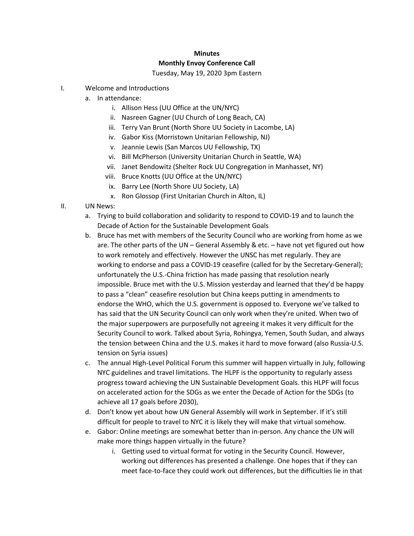## **Minutes Monthly Envoy Conference Call**

## Tuesday, May 19, 2020 3pm Eastern

- I. Welcome and Introductions
	- a. In attendance:
		- i. Allison Hess (UU Office at the UN/NYC)
		- ii. Nasreen Gagner (UU Church of Long Beach, CA)
		- iii. Terry Van Brunt (North Shore UU Society in Lacombe, LA)
		- iv. Gabor Kiss (Morristown Unitarian Fellowship, NJ)
		- v. Jeannie Lewis (San Marcos UU Fellowship, TX)
		- vi. Bill McPherson (University Unitarian Church in Seattle, WA)
		- vii. Janet Bendowitz (Shelter Rock UU Congregation in Manhasset, NY)
		- viii. Bruce Knotts (UU Office at the UN/NYC)
		- ix. Barry Lee (North Shore UU Society, LA)
		- x. Ron Glossop (First Unitarian Church in Alton, IL)
- II. UN News:
	- a. Trying to build collaboration and solidarity to respond to COVID-19 and to launch the Decade of Action for the Sustainable Development Goals
	- b. Bruce has met with members of the Security Council who are working from home as we are. The other parts of the UN – General Assembly & etc. – have not yet figured out how to work remotely and effectively. However the UNSC has met regularly. They are working to endorse and pass a COVID-19 ceasefire (called for by the Secretary-General); unfortunately the U.S.-China friction has made passing that resolution nearly impossible. Bruce met with the U.S. Mission yesterday and learned that they'd be happy to pass a "clean" ceasefire resolution but China keeps putting in amendments to endorse the WHO, which the U.S. government is opposed to. Everyone we've talked to has said that the UN Security Council can only work when they're united. When two of the major superpowers are purposefully not agreeing it makes it very difficult for the Security Council to work. Talked about Syria, Rohingya, Yemen, South Sudan, and always the tension between China and the U.S. makes it hard to move forward (also Russia-U.S. tension on Syria issues)
	- c. The annual High-Level Political Forum this summer will happen virtually in July, following NYC guidelines and travel limitations. The HLPF is the opportunity to regularly assess progress toward achieving the UN Sustainable Development Goals. this HLPF will focus on accelerated action for the SDGs as we enter the Decade of Action for the SDGs (to achieve all 17 goals before 2030),
	- d. Don't know yet about how UN General Assembly will work in September. If it's still difficult for people to travel to NYC it is likely they will make that virtual somehow.
	- e. Gabor: Online meetings are somewhat better than in-person. Any chance the UN will make more things happen virtually in the future?
		- i. Getting used to virtual format for voting in the Security Council. However, working out differences has presented a challenge. One hopes that if they can meet face-to-face they could work out differences, but the difficulties lie in that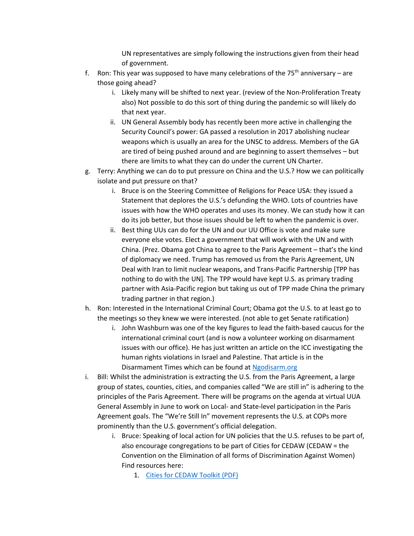UN representatives are simply following the instructions given from their head of government.

- f. Ron: This year was supposed to have many celebrations of the  $75<sup>th</sup>$  anniversary are those going ahead?
	- i. Likely many will be shifted to next year. (review of the Non-Proliferation Treaty also) Not possible to do this sort of thing during the pandemic so will likely do that next year.
	- ii. UN General Assembly body has recently been more active in challenging the Security Council's power: GA passed a resolution in 2017 abolishing nuclear weapons which is usually an area for the UNSC to address. Members of the GA are tired of being pushed around and are beginning to assert themselves – but there are limits to what they can do under the current UN Charter.
- g. Terry: Anything we can do to put pressure on China and the U.S.? How we can politically isolate and put pressure on that?
	- i. Bruce is on the Steering Committee of Religions for Peace USA: they issued a Statement that deplores the U.S.'s defunding the WHO. Lots of countries have issues with how the WHO operates and uses its money. We can study how it can do its job better, but those issues should be left to when the pandemic is over.
	- ii. Best thing UUs can do for the UN and our UU Office is vote and make sure everyone else votes. Elect a government that will work with the UN and with China. (Prez. Obama got China to agree to the Paris Agreement – that's the kind of diplomacy we need. Trump has removed us from the Paris Agreement, UN Deal with Iran to limit nuclear weapons, and Trans-Pacific Partnership [TPP has nothing to do with the UN]. The TPP would have kept U.S. as primary trading partner with Asia-Pacific region but taking us out of TPP made China the primary trading partner in that region.)
- h. Ron: Interested in the International Criminal Court; Obama got the U.S. to at least go to the meetings so they knew we were interested. (not able to get Senate ratification)
	- i. John Washburn was one of the key figures to lead the faith-based caucus for the international criminal court (and is now a volunteer working on disarmament issues with our office). He has just written an article on the ICC investigating the human rights violations in Israel and Palestine. That article is in the Disarmament Times which can be found at [Ngodisarm.org](https://ngodisarm.org/)
- i. Bill: Whilst the administration is extracting the U.S. from the Paris Agreement, a large group of states, counties, cities, and companies called "We are still in" is adhering to the principles of the Paris Agreement. There will be programs on the agenda at virtual UUA General Assembly in June to work on Local- and State-level participation in the Paris Agreement goals. The "We're Still In" movement represents the U.S. at COPs more prominently than the U.S. government's official delegation.
	- i. Bruce: Speaking of local action for UN policies that the U.S. refuses to be part of, also encourage congregations to be part of Cities for CEDAW (CEDAW = the Convention on the Elimination of all forms of Discrimination Against Women) Find resources here:
		- 1. [Cities for CEDAW Toolkit \(PDF\)](http://citiesforcedaw.org/wp-content/uploads/2020/03/CEDAW-toolkit-July-2017.pdf)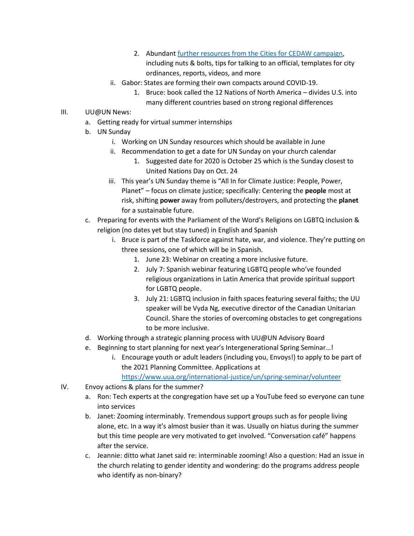- 2. Abundan[t further resources from the Cities for CEDAW campaign,](http://citiesforcedaw.org/resources/) including nuts & bolts, tips for talking to an official, templates for city ordinances, reports, videos, and more
- ii. Gabor: States are forming their own compacts around COVID-19.
	- 1. Bruce: book called the 12 Nations of North America divides U.S. into many different countries based on strong regional differences
- III. UU@UN News:
	- a. Getting ready for virtual summer internships
	- b. UN Sunday
		- i. Working on UN Sunday resources which should be available in June
		- ii. Recommendation to get a date for UN Sunday on your church calendar
			- 1. Suggested date for 2020 is October 25 which is the Sunday closest to United Nations Day on Oct. 24
		- iii. This year's UN Sunday theme is "All In for Climate Justice: People, Power, Planet" – focus on climate justice; specifically: Centering the **people** most at risk, shifting **power** away from polluters/destroyers, and protecting the **planet** for a sustainable future.
	- c. Preparing for events with the Parliament of the Word's Religions on LGBTQ inclusion & religion (no dates yet but stay tuned) in English and Spanish
		- i. Bruce is part of the Taskforce against hate, war, and violence. They're putting on three sessions, one of which will be in Spanish.
			- 1. June 23: Webinar on creating a more inclusive future.
			- 2. July 7: Spanish webinar featuring LGBTQ people who've founded religious organizations in Latin America that provide spiritual support for LGBTQ people.
			- 3. July 21: LGBTQ inclusion in faith spaces featuring several faiths; the UU speaker will be Vyda Ng, executive director of the Canadian Unitarian Council. Share the stories of overcoming obstacles to get congregations to be more inclusive.
	- d. Working through a strategic planning process with UU@UN Advisory Board
	- e. Beginning to start planning for next year's Intergenerational Spring Seminar…!
		- i. Encourage youth or adult leaders (including you, Envoys!) to apply to be part of the 2021 Planning Committee. Applications at <https://www.uua.org/international-justice/un/spring-seminar/volunteer>
	-
- IV. Envoy actions & plans for the summer?
	- a. Ron: Tech experts at the congregation have set up a YouTube feed so everyone can tune into services
	- b. Janet: Zooming interminably. Tremendous support groups such as for people living alone, etc. In a way it's almost busier than it was. Usually on hiatus during the summer but this time people are very motivated to get involved. "Conversation café" happens after the service.
	- c. Jeannie: ditto what Janet said re: interminable zooming! Also a question: Had an issue in the church relating to gender identity and wondering: do the programs address people who identify as non-binary?